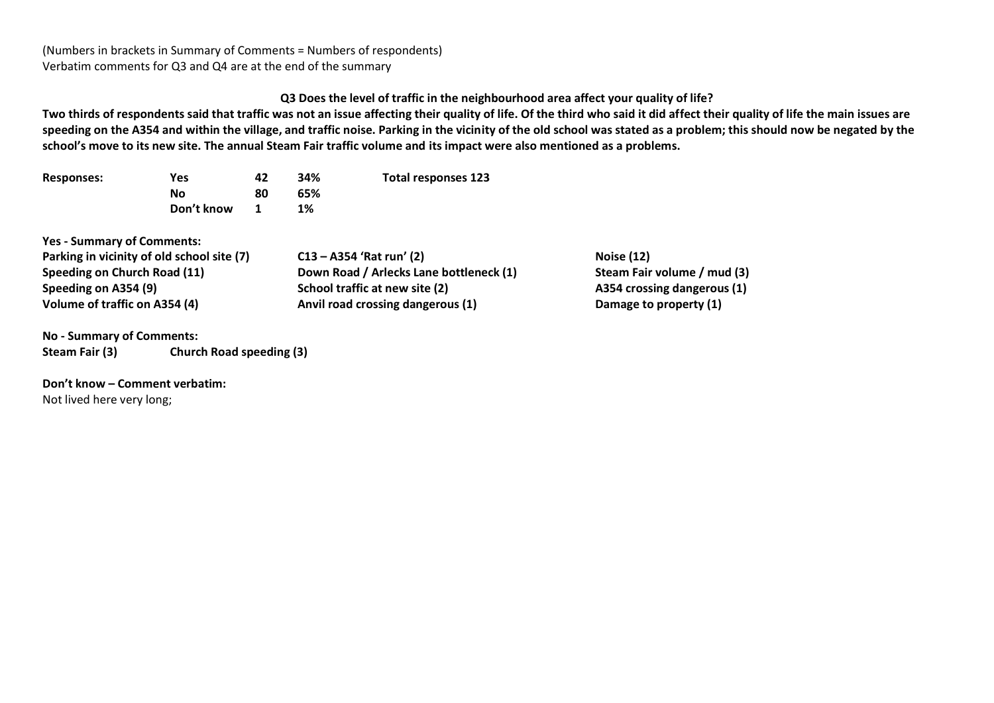(Numbers in brackets in Summary of Comments = Numbers of respondents) Verbatim comments for Q3 and Q4 are at the end of the summary

## **Q3 Does the level of traffic in the neighbourhood area affect your quality of life?**

**Two thirds of respondents said that traffic was not an issue affecting their quality of life. Of the third who said it did affect their quality of life the main issues are speeding on the A354 and within the village, and traffic noise. Parking in the vicinity of the old school was stated as a problem; this should now be negated by the school's move to its new site. The annual Steam Fair traffic volume and its impact were also mentioned as a problems.**

| <b>Responses:</b> | Yes        | 42 | 34% | <b>Total responses 123</b> |
|-------------------|------------|----|-----|----------------------------|
|                   | No         | 80 | 65% |                            |
|                   | Don't know |    | 1%  |                            |

| <b>Yes - Summary of Comments:</b>          |                                         |                   |
|--------------------------------------------|-----------------------------------------|-------------------|
| Parking in vicinity of old school site (7) | $C13 - A354$ 'Rat run' (2)              | <b>Noise (12)</b> |
| Speeding on Church Road (11)               | Down Road / Arlecks Lane bottleneck (1) | Steam Fair        |
| Speeding on A354 (9)                       | School traffic at new site (2)          | A354 cros:        |
| Volume of traffic on A354 (4)              | Anvil road crossing dangerous (1)       | Damage to         |

**No - Summary of Comments: Steam Fair (3) Church Road speeding (3)**

### **Don't know – Comment verbatim:**

Not lived here very long;

**Spaeding Charage Arricler Common Road (3) Speeding on A354 (9) School traffic at new site (2) A354 crossing dangerous (1) Produce to property (1)**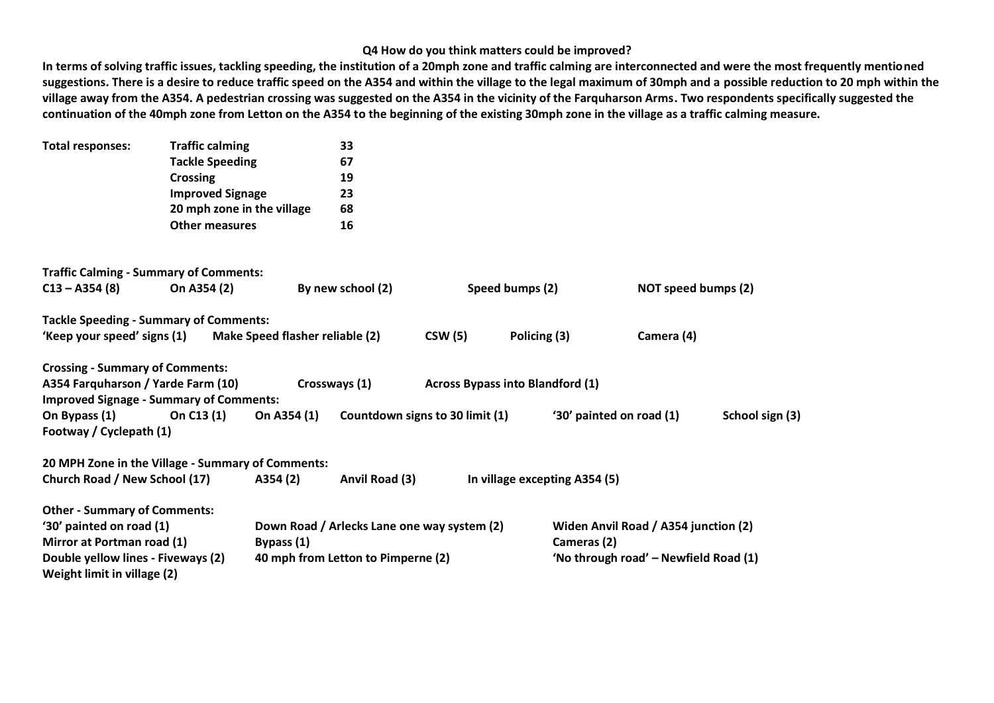### **Q4 How do you think matters could be improved?**

**In terms of solving traffic issues, tackling speeding, the institution of a 20mph zone and traffic calming are interconnected and were the most frequently mentioned suggestions. There is a desire to reduce traffic speed on the A354 and within the village to the legal maximum of 30mph and a possible reduction to 20 mph within the village away from the A354. A pedestrian crossing was suggested on the A354 in the vicinity of the Farquharson Arms. Two respondents specifically suggested the continuation of the 40mph zone from Letton on the A354 to the beginning of the existing 30mph zone in the village as a traffic calming measure.**

| <b>Total responses:</b>                                           | <b>Traffic calming</b>     |                                             | 33                                 |                                         |                               |                                      |                                       |                 |  |  |
|-------------------------------------------------------------------|----------------------------|---------------------------------------------|------------------------------------|-----------------------------------------|-------------------------------|--------------------------------------|---------------------------------------|-----------------|--|--|
|                                                                   | <b>Tackle Speeding</b>     |                                             | 67                                 |                                         |                               |                                      |                                       |                 |  |  |
|                                                                   | <b>Crossing</b>            |                                             | 19                                 |                                         |                               |                                      |                                       |                 |  |  |
|                                                                   | <b>Improved Signage</b>    |                                             | 23                                 |                                         |                               |                                      |                                       |                 |  |  |
|                                                                   | 20 mph zone in the village |                                             | 68                                 |                                         |                               |                                      |                                       |                 |  |  |
|                                                                   | <b>Other measures</b>      |                                             | 16                                 |                                         |                               |                                      |                                       |                 |  |  |
| <b>Traffic Calming - Summary of Comments:</b>                     |                            |                                             |                                    |                                         |                               |                                      |                                       |                 |  |  |
| $C13 - A354(8)$<br>On A354 (2)                                    |                            | By new school (2)                           |                                    | Speed bumps (2)                         |                               |                                      | NOT speed bumps (2)                   |                 |  |  |
| <b>Tackle Speeding - Summary of Comments:</b>                     |                            |                                             |                                    |                                         |                               |                                      |                                       |                 |  |  |
| 'Keep your speed' signs (1)                                       |                            | Make Speed flasher reliable (2)             |                                    | <b>CSW</b> (5)<br>Policing (3)          |                               | Camera (4)                           |                                       |                 |  |  |
| <b>Crossing - Summary of Comments:</b>                            |                            |                                             |                                    |                                         |                               |                                      |                                       |                 |  |  |
| A354 Farquharson / Yarde Farm (10)                                |                            |                                             | Crossways (1)                      | <b>Across Bypass into Blandford (1)</b> |                               |                                      |                                       |                 |  |  |
| <b>Improved Signage - Summary of Comments:</b>                    |                            |                                             |                                    |                                         |                               |                                      |                                       |                 |  |  |
| On Bypass (1)<br>Footway / Cyclepath (1)                          | On C13 (1)                 | On A354 (1)                                 | Countdown signs to 30 limit (1)    |                                         |                               | '30' painted on road (1)             |                                       | School sign (3) |  |  |
| 20 MPH Zone in the Village - Summary of Comments:                 |                            |                                             |                                    |                                         |                               |                                      |                                       |                 |  |  |
| Church Road / New School (17)                                     |                            | A354 (2)                                    | Anvil Road (3)                     |                                         | In village excepting A354 (5) |                                      |                                       |                 |  |  |
| <b>Other - Summary of Comments:</b>                               |                            |                                             |                                    |                                         |                               |                                      |                                       |                 |  |  |
| '30' painted on road (1)                                          |                            | Down Road / Arlecks Lane one way system (2) |                                    |                                         |                               | Widen Anvil Road / A354 junction (2) |                                       |                 |  |  |
| Mirror at Portman road (1)                                        |                            | Bypass (1)                                  |                                    |                                         |                               |                                      | Cameras (2)                           |                 |  |  |
| Double yellow lines - Fiveways (2)<br>Weight limit in village (2) |                            |                                             | 40 mph from Letton to Pimperne (2) |                                         |                               |                                      | 'No through road' – Newfield Road (1) |                 |  |  |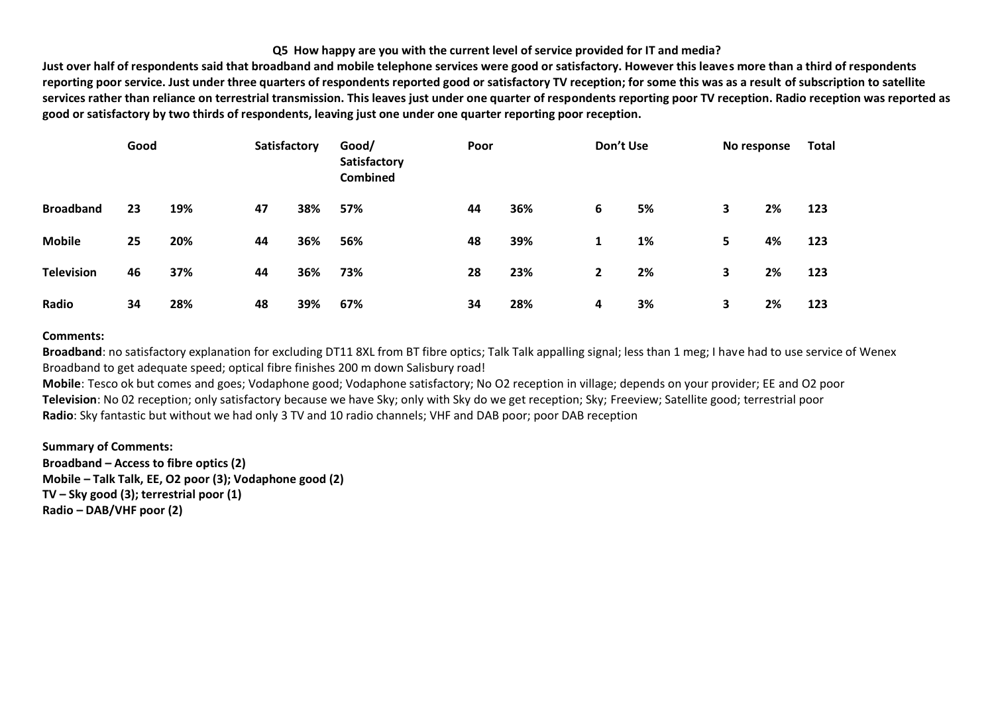## **Q5 How happy are you with the current level of service provided for IT and media?**

**Just over half of respondents said that broadband and mobile telephone services were good or satisfactory. However this leaves more than a third of respondents reporting poor service. Just under three quarters of respondents reported good or satisfactory TV reception; for some this was as a result of subscription to satellite services rather than reliance on terrestrial transmission. This leaves just under one quarter of respondents reporting poor TV reception. Radio reception was reported as good or satisfactory by two thirds of respondents, leaving just one under one quarter reporting poor reception.**

|                   | Good |     |    | Satisfactory | Good/<br>Satisfactory<br><b>Combined</b> | Poor |     | Don't Use      |    |   | No response |     |
|-------------------|------|-----|----|--------------|------------------------------------------|------|-----|----------------|----|---|-------------|-----|
| <b>Broadband</b>  | 23   | 19% | 47 | 38%          | 57%                                      | 44   | 36% | 6              | 5% | 3 | 2%          | 123 |
| <b>Mobile</b>     | 25   | 20% | 44 | 36%          | 56%                                      | 48   | 39% | 1              | 1% | 5 | 4%          | 123 |
| <b>Television</b> | 46   | 37% | 44 | 36%          | 73%                                      | 28   | 23% | $\overline{2}$ | 2% | 3 | 2%          | 123 |
| Radio             | 34   | 28% | 48 | 39%          | 67%                                      | 34   | 28% | 4              | 3% | 3 | 2%          | 123 |

#### **Comments:**

**Broadband**: no satisfactory explanation for excluding DT11 8XL from BT fibre optics; Talk Talk appalling signal; less than 1 meg; I have had to use service of Wenex Broadband to get adequate speed; optical fibre finishes 200 m down Salisbury road!

**Mobile**: Tesco ok but comes and goes; Vodaphone good; Vodaphone satisfactory; No O2 reception in village; depends on your provider; EE and O2 poor **Television**: No 02 reception; only satisfactory because we have Sky; only with Sky do we get reception; Sky; Freeview; Satellite good; terrestrial poor **Radio**: Sky fantastic but without we had only 3 TV and 10 radio channels; VHF and DAB poor; poor DAB reception

**Summary of Comments: Broadband – Access to fibre optics (2) Mobile – Talk Talk, EE, O2 poor (3); Vodaphone good (2) TV – Sky good (3); terrestrial poor (1) Radio – DAB/VHF poor (2)**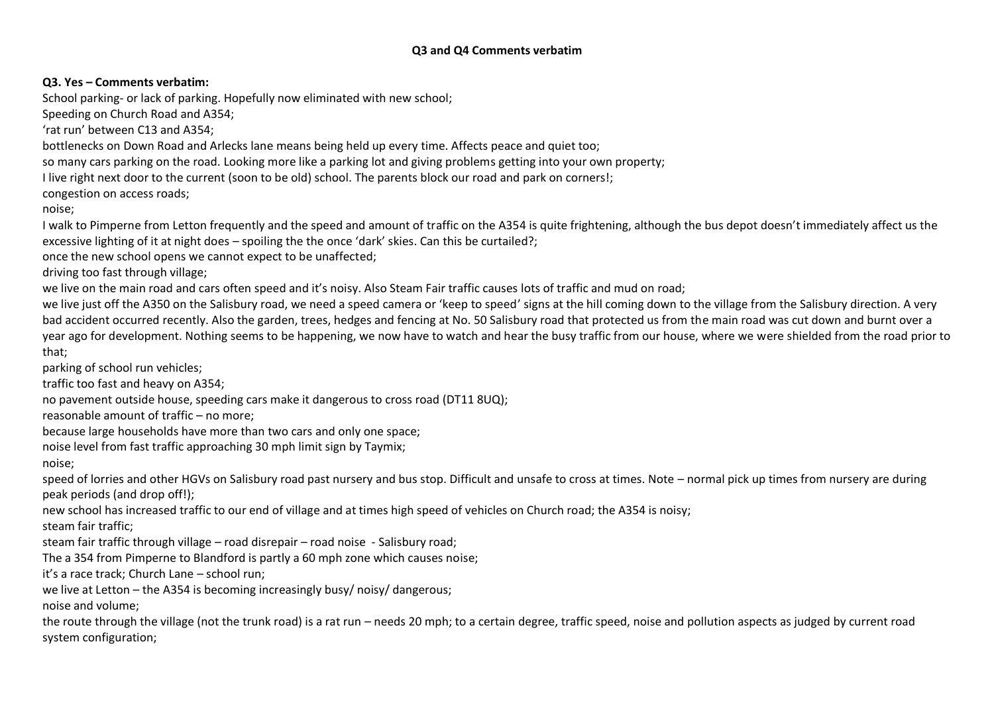# **Q3 and Q4 Comments verbatim**

# **Q3. Yes – Comments verbatim:**

School parking- or lack of parking. Hopefully now eliminated with new school;

Speeding on Church Road and A354;

'rat run' between C13 and A354;

bottlenecks on Down Road and Arlecks lane means being held up every time. Affects peace and quiet too;

so many cars parking on the road. Looking more like a parking lot and giving problems getting into your own property;

I live right next door to the current (soon to be old) school. The parents block our road and park on corners!;

congestion on access roads;

noise;

I walk to Pimperne from Letton frequently and the speed and amount of traffic on the A354 is quite frightening, although the bus depot doesn't immediately affect us the excessive lighting of it at night does – spoiling the the once 'dark' skies. Can this be curtailed?;

once the new school opens we cannot expect to be unaffected;

driving too fast through village;

we live on the main road and cars often speed and it's noisy. Also Steam Fair traffic causes lots of traffic and mud on road;

we live just off the A350 on the Salisbury road, we need a speed camera or 'keep to speed' signs at the hill coming down to the village from the Salisbury direction. A very bad accident occurred recently. Also the garden, trees, hedges and fencing at No. 50 Salisbury road that protected us from the main road was cut down and burnt over a year ago for development. Nothing seems to be happening, we now have to watch and hear the busy traffic from our house, where we were shielded from the road prior to that;

parking of school run vehicles;

traffic too fast and heavy on A354;

no pavement outside house, speeding cars make it dangerous to cross road (DT11 8UQ);

reasonable amount of traffic – no more;

because large households have more than two cars and only one space;

noise level from fast traffic approaching 30 mph limit sign by Taymix;

noise;

speed of lorries and other HGVs on Salisbury road past nursery and bus stop. Difficult and unsafe to cross at times. Note – normal pick up times from nursery are during peak periods (and drop off!);

new school has increased traffic to our end of village and at times high speed of vehicles on Church road; the A354 is noisy;

steam fair traffic;

steam fair traffic through village – road disrepair – road noise - Salisbury road;

The a 354 from Pimperne to Blandford is partly a 60 mph zone which causes noise;

it's a race track; Church Lane – school run;

we live at Letton – the A354 is becoming increasingly busy/ noisy/ dangerous;

noise and volume;

the route through the village (not the trunk road) is a rat run – needs 20 mph; to a certain degree, traffic speed, noise and pollution aspects as judged by current road system configuration;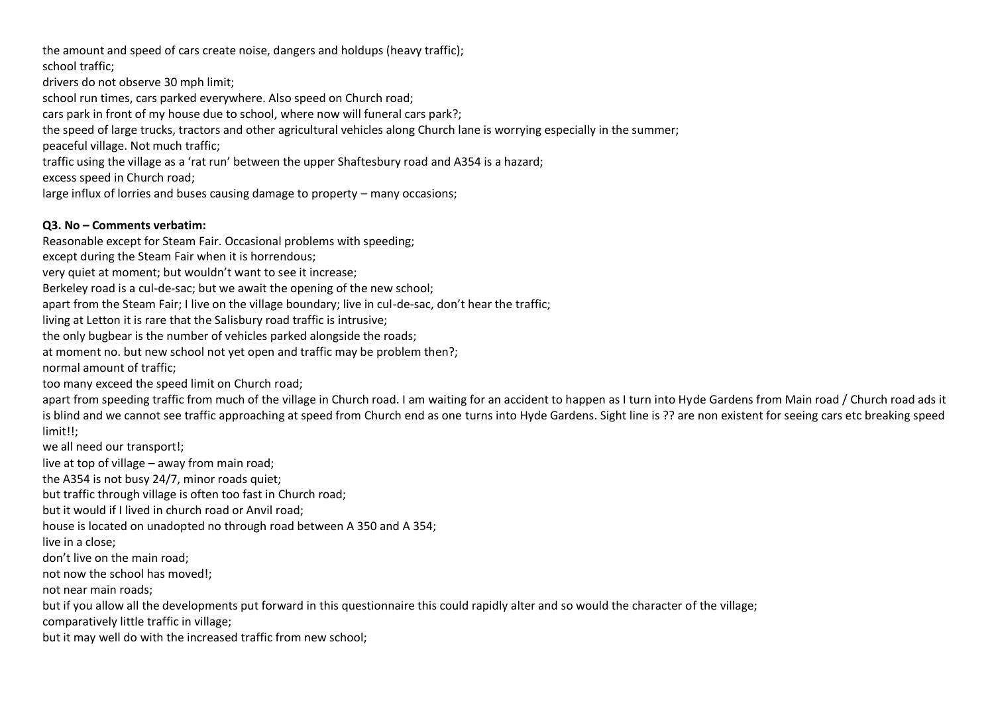the amount and speed of cars create noise, dangers and holdups (heavy traffic); school traffic; drivers do not observe 30 mph limit;

school run times, cars parked everywhere. Also speed on Church road; cars park in front of my house due to school, where now will funeral cars park?;

the speed of large trucks, tractors and other agricultural vehicles along Church lane is worrying especially in the summer;

peaceful village. Not much traffic;

traffic using the village as a 'rat run' between the upper Shaftesbury road and A354 is a hazard;

excess speed in Church road;

large influx of lorries and buses causing damage to property – many occasions;

# **Q3. No – Comments verbatim:**

Reasonable except for Steam Fair. Occasional problems with speeding;

except during the Steam Fair when it is horrendous;

very quiet at moment; but wouldn't want to see it increase;

Berkeley road is a cul-de-sac; but we await the opening of the new school;

apart from the Steam Fair; I live on the village boundary; live in cul-de-sac, don't hear the traffic;

living at Letton it is rare that the Salisbury road traffic is intrusive;

the only bugbear is the number of vehicles parked alongside the roads;

at moment no. but new school not yet open and traffic may be problem then?;

normal amount of traffic;

too many exceed the speed limit on Church road;

apart from speeding traffic from much of the village in Church road. I am waiting for an accident to happen as I turn into Hyde Gardens from Main road / Church road ads it is blind and we cannot see traffic approaching at speed from Church end as one turns into Hyde Gardens. Sight line is ?? are non existent for seeing cars etc breaking speed limit!!;

we all need our transport!;

live at top of village – away from main road;

the A354 is not busy 24/7, minor roads quiet;

but traffic through village is often too fast in Church road;

but it would if I lived in church road or Anvil road;

house is located on unadopted no through road between A 350 and A 354;

live in a close;

don't live on the main road;

not now the school has moved!;

not near main roads;

but if you allow all the developments put forward in this questionnaire this could rapidly alter and so would the character of the village;

comparatively little traffic in village;

but it may well do with the increased traffic from new school;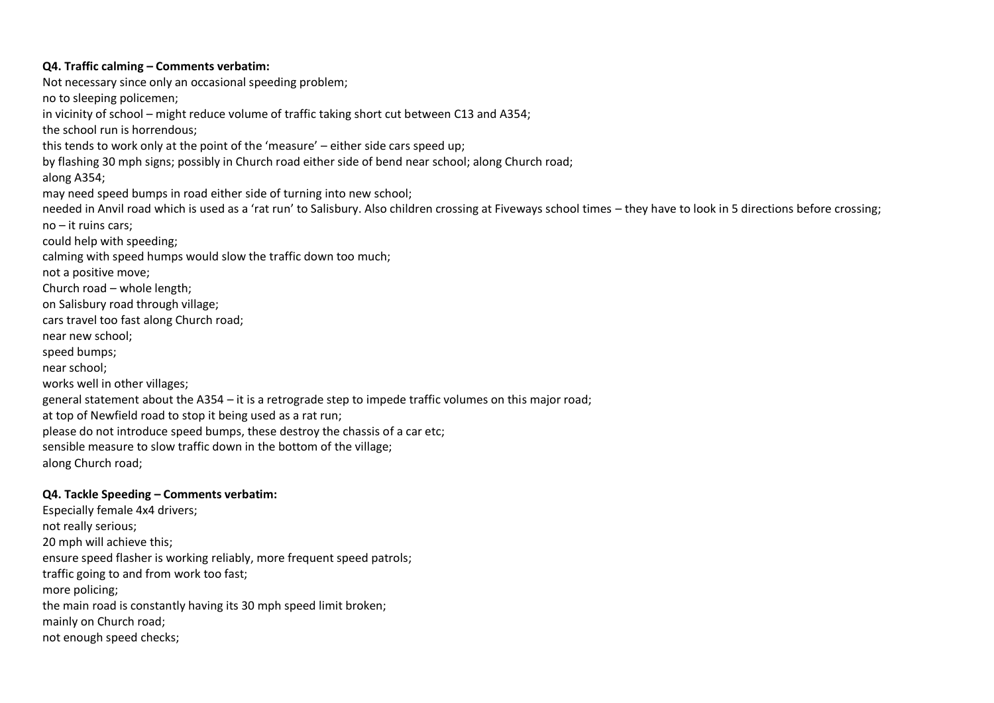### **Q4. Traffic calming – Comments verbatim:**

Not necessary since only an occasional speeding problem; no to sleeping policemen; in vicinity of school – might reduce volume of traffic taking short cut between C13 and A354; the school run is horrendous; this tends to work only at the point of the 'measure' – either side cars speed up; by flashing 30 mph signs; possibly in Church road either side of bend near school; along Church road; along A354; may need speed bumps in road either side of turning into new school; needed in Anvil road which is used as a 'rat run' to Salisbury. Also children crossing at Fiveways school times – they have to look in 5 directions before crossing; no – it ruins cars; could help with speeding; calming with speed humps would slow the traffic down too much; not a positive move; Church road – whole length; on Salisbury road through village; cars travel too fast along Church road; near new school; speed bumps; near school; works well in other villages; general statement about the A354 – it is a retrograde step to impede traffic volumes on this major road; at top of Newfield road to stop it being used as a rat run; please do not introduce speed bumps, these destroy the chassis of a car etc; sensible measure to slow traffic down in the bottom of the village; along Church road;

## **Q4. Tackle Speeding – Comments verbatim:**

Especially female 4x4 drivers; not really serious; 20 mph will achieve this; ensure speed flasher is working reliably, more frequent speed patrols; traffic going to and from work too fast; more policing; the main road is constantly having its 30 mph speed limit broken; mainly on Church road; not enough speed checks;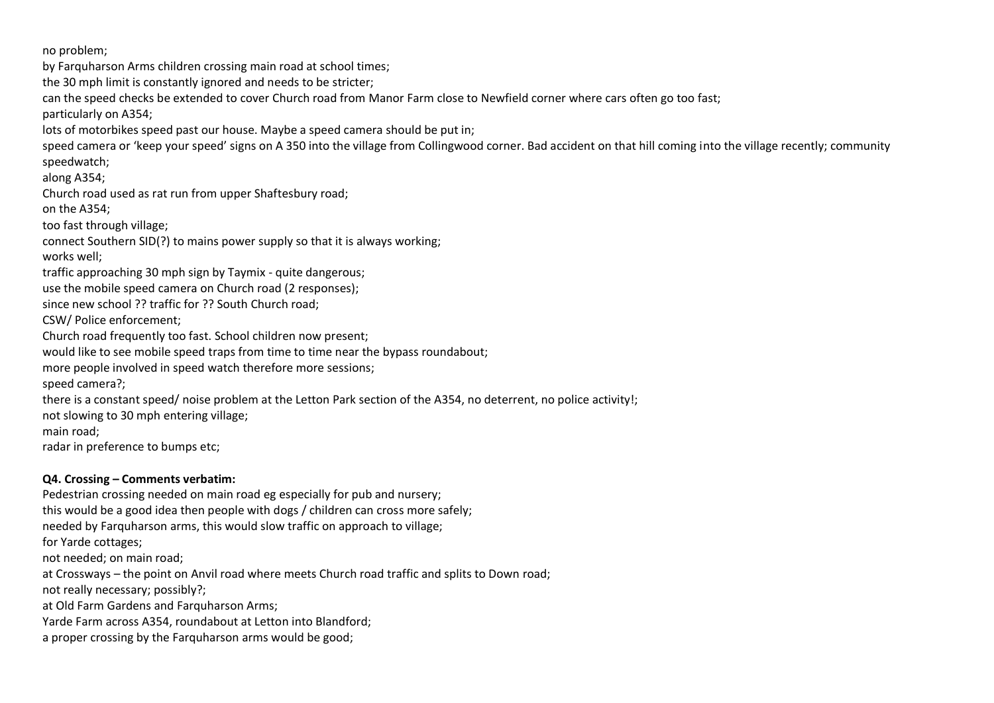no problem; by Farquharson Arms children crossing main road at school times; the 30 mph limit is constantly ignored and needs to be stricter; can the speed checks be extended to cover Church road from Manor Farm close to Newfield corner where cars often go too fast; particularly on A354; lots of motorbikes speed past our house. Maybe a speed camera should be put in; speed camera or 'keep your speed' signs on A 350 into the village from Collingwood corner. Bad accident on that hill coming into the village recently; community speedwatch; along A354; Church road used as rat run from upper Shaftesbury road; on the A354; too fast through village; connect Southern SID(?) to mains power supply so that it is always working; works well; traffic approaching 30 mph sign by Taymix - quite dangerous; use the mobile speed camera on Church road (2 responses); since new school ?? traffic for ?? South Church road; CSW/ Police enforcement; Church road frequently too fast. School children now present; would like to see mobile speed traps from time to time near the bypass roundabout; more people involved in speed watch therefore more sessions; speed camera?; there is a constant speed/ noise problem at the Letton Park section of the A354, no deterrent, no police activity!; not slowing to 30 mph entering village; main road; radar in preference to bumps etc; **Q4. Crossing – Comments verbatim:** Pedestrian crossing needed on main road eg especially for pub and nursery; this would be a good idea then people with dogs / children can cross more safely; needed by Farquharson arms, this would slow traffic on approach to village;

for Yarde cottages;

not needed; on main road;

at Crossways – the point on Anvil road where meets Church road traffic and splits to Down road;

not really necessary; possibly?;

at Old Farm Gardens and Farquharson Arms;

Yarde Farm across A354, roundabout at Letton into Blandford;

a proper crossing by the Farquharson arms would be good;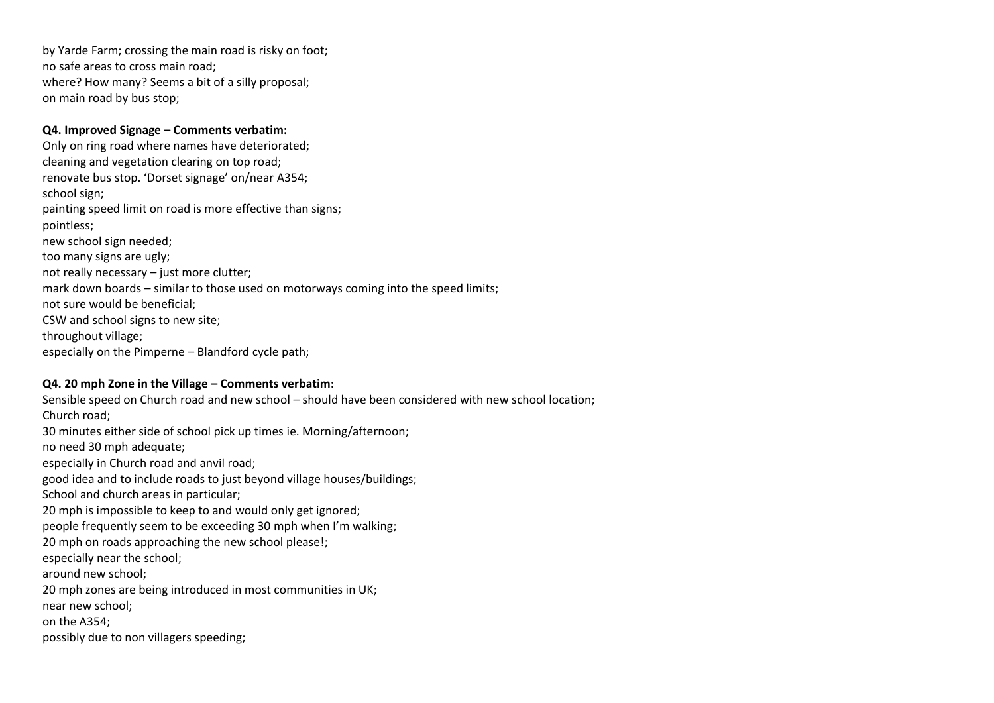by Yarde Farm; crossing the main road is risky on foot; no safe areas to cross main road; where? How many? Seems a bit of a silly proposal; on main road by bus stop;

### **Q4. Improved Signage – Comments verbatim:**

Only on ring road where names have deteriorated; cleaning and vegetation clearing on top road; renovate bus stop. 'Dorset signage' on/near A354; school sign; painting speed limit on road is more effective than signs; pointless; new school sign needed; too many signs are ugly; not really necessary – just more clutter; mark down boards – similar to those used on motorways coming into the speed limits; not sure would be beneficial; CSW and school signs to new site; throughout village;

especially on the Pimperne – Blandford cycle path;

### **Q4. 20 mph Zone in the Village – Comments verbatim:**

Sensible speed on Church road and new school – should have been considered with new school location; Church road; 30 minutes either side of school pick up times ie. Morning/afternoon; no need 30 mph adequate; especially in Church road and anvil road; good idea and to include roads to just beyond village houses/buildings; School and church areas in particular; 20 mph is impossible to keep to and would only get ignored; people frequently seem to be exceeding 30 mph when I'm walking; 20 mph on roads approaching the new school please!; especially near the school; around new school; 20 mph zones are being introduced in most communities in UK; near new school; on the A354; possibly due to non villagers speeding;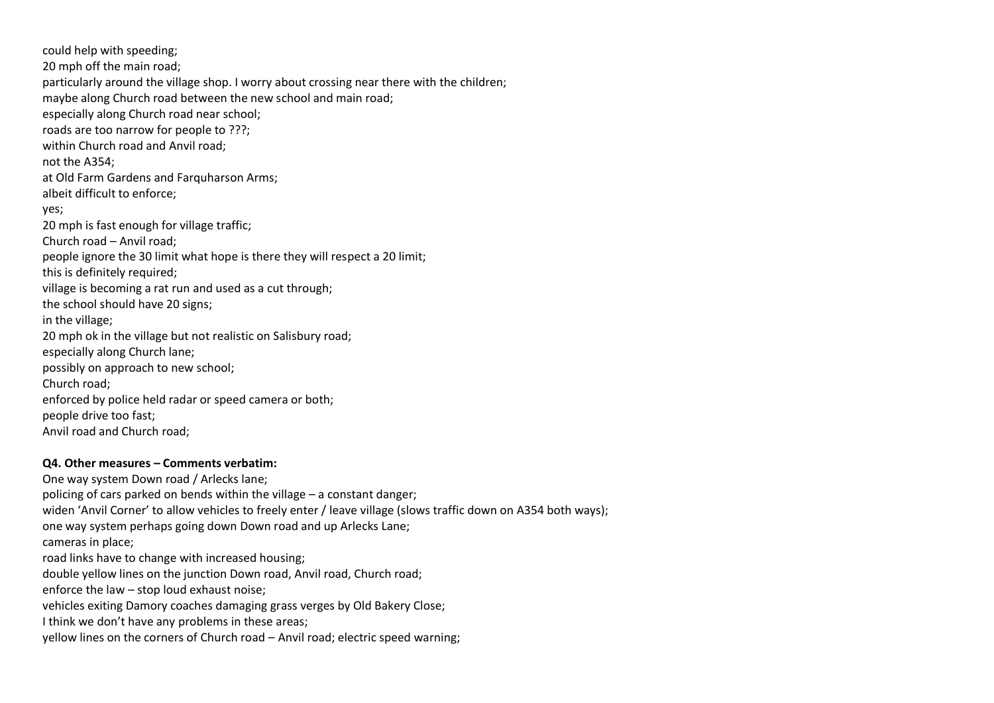could help with speeding; 20 mph off the main road; particularly around the village shop. I worry about crossing near there with the children; maybe along Church road between the new school and main road; especially along Church road near school; roads are too narrow for people to ???; within Church road and Anvil road; not the A354; at Old Farm Gardens and Farquharson Arms; albeit difficult to enforce; yes; 20 mph is fast enough for village traffic; Church road – Anvil road; people ignore the 30 limit what hope is there they will respect a 20 limit; this is definitely required; village is becoming a rat run and used as a cut through; the school should have 20 signs; in the village; 20 mph ok in the village but not realistic on Salisbury road; especially along Church lane; possibly on approach to new school; Church road; enforced by police held radar or speed camera or both; people drive too fast; Anvil road and Church road;

### **Q4. Other measures – Comments verbatim:**

One way system Down road / Arlecks lane; policing of cars parked on bends within the village – a constant danger; widen 'Anvil Corner' to allow vehicles to freely enter / leave village (slows traffic down on A354 both ways); one way system perhaps going down Down road and up Arlecks Lane; cameras in place; road links have to change with increased housing; double yellow lines on the junction Down road, Anvil road, Church road; enforce the law – stop loud exhaust noise; vehicles exiting Damory coaches damaging grass verges by Old Bakery Close; I think we don't have any problems in these areas; yellow lines on the corners of Church road – Anvil road; electric speed warning;